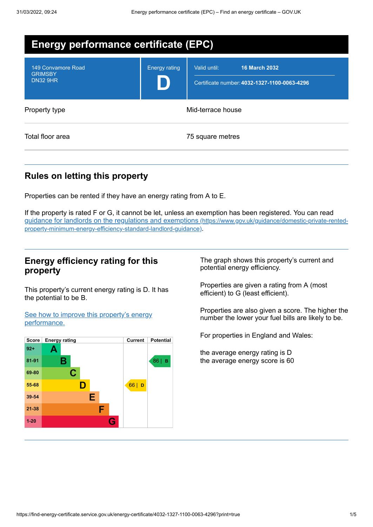| <b>Energy performance certificate (EPC)</b>             |                      |                                                                                      |  |
|---------------------------------------------------------|----------------------|--------------------------------------------------------------------------------------|--|
| 149 Convamore Road<br><b>GRIMSBY</b><br><b>DN32 9HR</b> | <b>Energy rating</b> | Valid until:<br><b>16 March 2032</b><br>Certificate number: 4032-1327-1100-0063-4296 |  |
| Property type                                           | Mid-terrace house    |                                                                                      |  |
| Total floor area                                        |                      | 75 square metres                                                                     |  |

## **Rules on letting this property**

Properties can be rented if they have an energy rating from A to E.

If the property is rated F or G, it cannot be let, unless an exemption has been registered. You can read guidance for landlords on the regulations and exemptions (https://www.gov.uk/guidance/domestic-private-rented[property-minimum-energy-efficiency-standard-landlord-guidance\)](https://www.gov.uk/guidance/domestic-private-rented-property-minimum-energy-efficiency-standard-landlord-guidance).

### **Energy efficiency rating for this property**

This property's current energy rating is D. It has the potential to be B.

See how to improve this property's energy [performance.](#page-2-0)



The graph shows this property's current and potential energy efficiency.

Properties are given a rating from A (most efficient) to G (least efficient).

Properties are also given a score. The higher the number the lower your fuel bills are likely to be.

For properties in England and Wales:

the average energy rating is D the average energy score is 60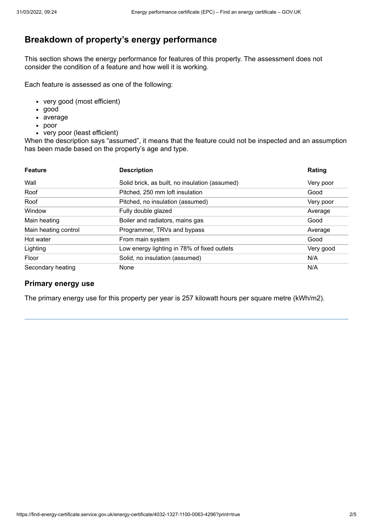## **Breakdown of property's energy performance**

This section shows the energy performance for features of this property. The assessment does not consider the condition of a feature and how well it is working.

Each feature is assessed as one of the following:

- very good (most efficient)
- good
- average
- poor
- very poor (least efficient)

When the description says "assumed", it means that the feature could not be inspected and an assumption has been made based on the property's age and type.

| <b>Feature</b>       | <b>Description</b>                             | Rating    |
|----------------------|------------------------------------------------|-----------|
| Wall                 | Solid brick, as built, no insulation (assumed) | Very poor |
| Roof                 | Pitched, 250 mm loft insulation                | Good      |
| Roof                 | Pitched, no insulation (assumed)               | Very poor |
| Window               | Fully double glazed                            | Average   |
| Main heating         | Boiler and radiators, mains gas                | Good      |
| Main heating control | Programmer, TRVs and bypass                    | Average   |
| Hot water            | From main system                               | Good      |
| Lighting             | Low energy lighting in 78% of fixed outlets    | Very good |
| Floor                | Solid, no insulation (assumed)                 | N/A       |
| Secondary heating    | None                                           | N/A       |

#### **Primary energy use**

The primary energy use for this property per year is 257 kilowatt hours per square metre (kWh/m2).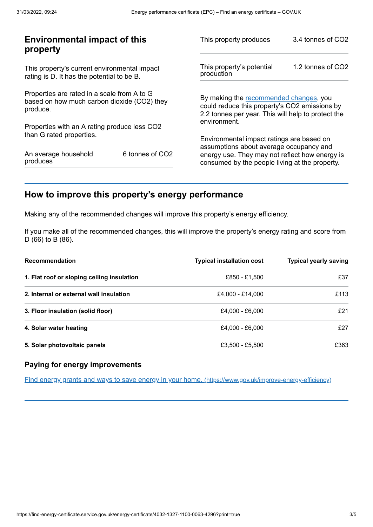| <b>Environmental impact of this</b><br>property                                                        |                 | This property produces                                                                                                                        | 3.4 tonnes of CO2 |
|--------------------------------------------------------------------------------------------------------|-----------------|-----------------------------------------------------------------------------------------------------------------------------------------------|-------------------|
| This property's current environmental impact<br>rating is D. It has the potential to be B.             |                 | This property's potential<br>production                                                                                                       | 1.2 tonnes of CO2 |
| Properties are rated in a scale from A to G<br>based on how much carbon dioxide (CO2) they<br>produce. |                 | By making the recommended changes, you<br>could reduce this property's CO2 emissions by<br>2.2 tonnes per year. This will help to protect the |                   |
| Properties with an A rating produce less CO2                                                           |                 | environment.                                                                                                                                  |                   |
| than G rated properties.                                                                               |                 | Environmental impact ratings are based on                                                                                                     |                   |
| An average household<br>produces                                                                       | 6 tonnes of CO2 | assumptions about average occupancy and<br>energy use. They may not reflect how energy is<br>consumed by the people living at the property.   |                   |
|                                                                                                        |                 |                                                                                                                                               |                   |

## <span id="page-2-0"></span>**How to improve this property's energy performance**

Making any of the recommended changes will improve this property's energy efficiency.

If you make all of the recommended changes, this will improve the property's energy rating and score from D (66) to B (86).

| Recommendation                             | <b>Typical installation cost</b> | <b>Typical yearly saving</b> |
|--------------------------------------------|----------------------------------|------------------------------|
| 1. Flat roof or sloping ceiling insulation | £850 - £1,500                    | £37                          |
| 2. Internal or external wall insulation    | £4,000 - £14,000                 | £113                         |
| 3. Floor insulation (solid floor)          | £4,000 - £6,000                  | £21                          |
| 4. Solar water heating                     | £4,000 - £6,000                  | £27                          |
| 5. Solar photovoltaic panels               | £3,500 - £5,500                  | £363                         |

#### **Paying for energy improvements**

Find energy grants and ways to save energy in your home. [\(https://www.gov.uk/improve-energy-efficiency\)](https://www.gov.uk/improve-energy-efficiency)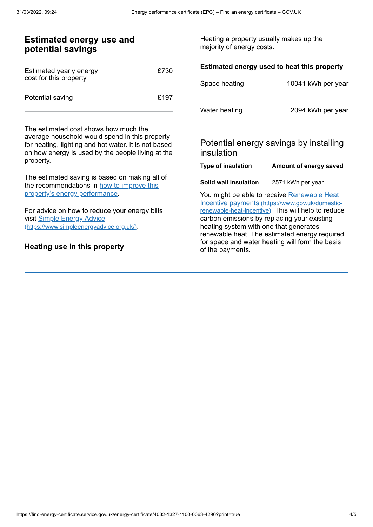| <b>Estimated energy use and</b><br>potential savings                                                                                                                                                 |      | Heating a property usually makes up the<br>majority of energy costs. |                                                                                                 |
|------------------------------------------------------------------------------------------------------------------------------------------------------------------------------------------------------|------|----------------------------------------------------------------------|-------------------------------------------------------------------------------------------------|
| Estimated yearly energy<br>cost for this property                                                                                                                                                    | £730 |                                                                      | Estimated energy used to heat this property                                                     |
|                                                                                                                                                                                                      |      | Space heating                                                        | 10041 kWh per year                                                                              |
| Potential saving                                                                                                                                                                                     | £197 |                                                                      |                                                                                                 |
|                                                                                                                                                                                                      |      | Water heating                                                        | 2094 kWh per year                                                                               |
| The estimated cost shows how much the<br>average household would spend in this property<br>for heating, lighting and hot water. It is not based<br>on how energy is used by the people living at the |      | insulation                                                           | Potential energy savings by installing                                                          |
| property.                                                                                                                                                                                            |      | <b>Type of insulation</b>                                            | Amount of energy saved                                                                          |
| The estimated saving is based on making all of<br>the recommendations in how to improve this                                                                                                         |      | Solid wall insulation                                                | 2571 kWh per year                                                                               |
| property's energy performance.                                                                                                                                                                       |      |                                                                      | You might be able to receive Renewable Heat<br>Incentive payments (https://www.gov.uk/domestic- |
| For advice on how to reduce your energy bills                                                                                                                                                        |      |                                                                      | renewable-heat-incentive). This will help to reduce                                             |
| visit Simple Energy Advice<br>(https://www.simpleenergyadvice.org.uk/).                                                                                                                              |      | heating system with one that generates                               | carbon emissions by replacing your existing                                                     |
|                                                                                                                                                                                                      |      |                                                                      | renewable heat. The estimated energy required                                                   |
| Heating use in this property                                                                                                                                                                         |      | of the payments.                                                     | for space and water heating will form the basis                                                 |